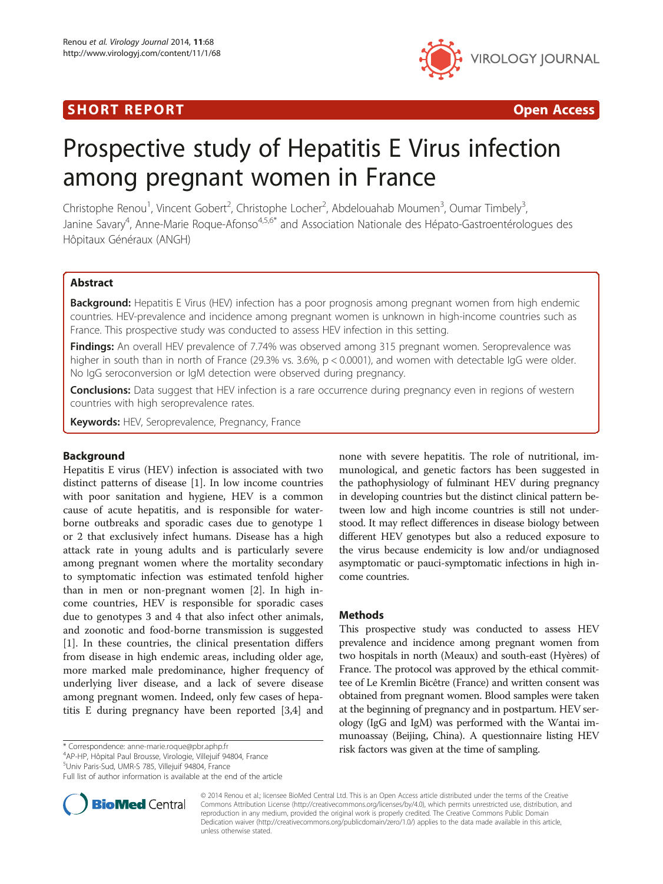# SHORT REPORT **The Contract of the Contract Open Access** (SHORT **Contract of the Contract Open Access**



# Prospective study of Hepatitis E Virus infection among pregnant women in France

Christophe Renou<sup>1</sup>, Vincent Gobert<sup>2</sup>, Christophe Locher<sup>2</sup>, Abdelouahab Moumen<sup>3</sup>, Oumar Timbely<sup>3</sup> , Janine Savary<sup>4</sup>, Anne-Marie Roque-Afonso<sup>4,5,6\*</sup> and Association Nationale des Hépato-Gastroentérologues des Hôpitaux Généraux (ANGH)

# Abstract

**Background:** Hepatitis E Virus (HEV) infection has a poor prognosis among pregnant women from high endemic countries. HEV-prevalence and incidence among pregnant women is unknown in high-income countries such as France. This prospective study was conducted to assess HEV infection in this setting.

**Findings:** An overall HEV prevalence of 7.74% was observed among 315 pregnant women. Seroprevalence was higher in south than in north of France (29.3% vs. 3.6%,  $p < 0.0001$ ), and women with detectable IgG were older. No IgG seroconversion or IgM detection were observed during pregnancy.

**Conclusions:** Data suggest that HEV infection is a rare occurrence during pregnancy even in regions of western countries with high seroprevalence rates.

Keywords: HEV, Seroprevalence, Pregnancy, France

# Background

Hepatitis E virus (HEV) infection is associated with two distinct patterns of disease [[1](#page-1-0)]. In low income countries with poor sanitation and hygiene, HEV is a common cause of acute hepatitis, and is responsible for waterborne outbreaks and sporadic cases due to genotype 1 or 2 that exclusively infect humans. Disease has a high attack rate in young adults and is particularly severe among pregnant women where the mortality secondary to symptomatic infection was estimated tenfold higher than in men or non-pregnant women [[2\]](#page-1-0). In high income countries, HEV is responsible for sporadic cases due to genotypes 3 and 4 that also infect other animals, and zoonotic and food-borne transmission is suggested [[1\]](#page-1-0). In these countries, the clinical presentation differs from disease in high endemic areas, including older age, more marked male predominance, higher frequency of underlying liver disease, and a lack of severe disease among pregnant women. Indeed, only few cases of hepatitis E during pregnancy have been reported [[3,4\]](#page-1-0) and

AP-HP, Hôpital Paul Brousse, Virologie, Villejuif 94804, France

5 Univ Paris-Sud, UMR-S 785, Villejuif 94804, France

Full list of author information is available at the end of the article



none with severe hepatitis. The role of nutritional, immunological, and genetic factors has been suggested in the pathophysiology of fulminant HEV during pregnancy in developing countries but the distinct clinical pattern between low and high income countries is still not understood. It may reflect differences in disease biology between different HEV genotypes but also a reduced exposure to the virus because endemicity is low and/or undiagnosed asymptomatic or pauci-symptomatic infections in high income countries.

## Methods

This prospective study was conducted to assess HEV prevalence and incidence among pregnant women from two hospitals in north (Meaux) and south-east (Hyères) of France. The protocol was approved by the ethical committee of Le Kremlin Bicêtre (France) and written consent was obtained from pregnant women. Blood samples were taken at the beginning of pregnancy and in postpartum. HEV serology (IgG and IgM) was performed with the Wantai immunoassay (Beijing, China). A questionnaire listing HEV risk factors was given at the time of sampling. \* Correspondence: [anne-marie.roque@pbr.aphp.fr](mailto:anne-marie.roque@pbr.aphp.fr) <sup>4</sup>

> © 2014 Renou et al.; licensee BioMed Central Ltd. This is an Open Access article distributed under the terms of the Creative Commons Attribution License [\(http://creativecommons.org/licenses/by/4.0\)](http://creativecommons.org/licenses/by/4.0), which permits unrestricted use, distribution, and reproduction in any medium, provided the original work is properly credited. The Creative Commons Public Domain Dedication waiver [\(http://creativecommons.org/publicdomain/zero/1.0/](http://creativecommons.org/publicdomain/zero/1.0/)) applies to the data made available in this article, unless otherwise stated.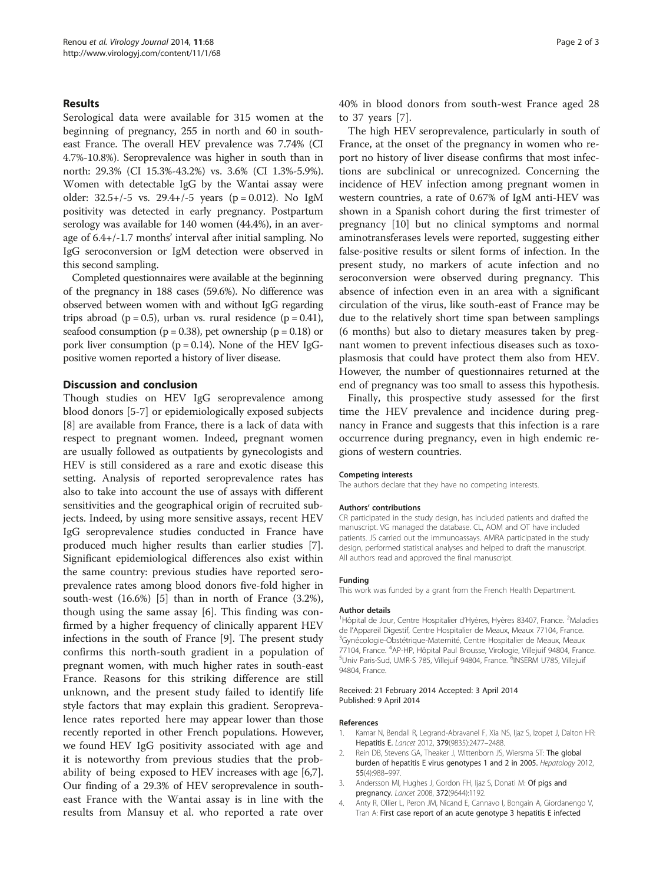# <span id="page-1-0"></span>Results

Serological data were available for 315 women at the beginning of pregnancy, 255 in north and 60 in southeast France. The overall HEV prevalence was 7.74% (CI 4.7%-10.8%). Seroprevalence was higher in south than in north: 29.3% (CI 15.3%-43.2%) vs. 3.6% (CI 1.3%-5.9%). Women with detectable IgG by the Wantai assay were older:  $32.5+/-5$  vs.  $29.4+/-5$  years (p = 0.012). No IgM positivity was detected in early pregnancy. Postpartum serology was available for 140 women (44.4%), in an average of 6.4+/-1.7 months' interval after initial sampling. No IgG seroconversion or IgM detection were observed in this second sampling.

Completed questionnaires were available at the beginning of the pregnancy in 188 cases (59.6%). No difference was observed between women with and without IgG regarding trips abroad ( $p = 0.5$ ), urban vs. rural residence ( $p = 0.41$ ), seafood consumption ( $p = 0.38$ ), pet ownership ( $p = 0.18$ ) or pork liver consumption ( $p = 0.14$ ). None of the HEV IgGpositive women reported a history of liver disease.

# Discussion and conclusion

Though studies on HEV IgG seroprevalence among blood donors [\[5](#page-2-0)-[7\]](#page-2-0) or epidemiologically exposed subjects [[8\]](#page-2-0) are available from France, there is a lack of data with respect to pregnant women. Indeed, pregnant women are usually followed as outpatients by gynecologists and HEV is still considered as a rare and exotic disease this setting. Analysis of reported seroprevalence rates has also to take into account the use of assays with different sensitivities and the geographical origin of recruited subjects. Indeed, by using more sensitive assays, recent HEV IgG seroprevalence studies conducted in France have produced much higher results than earlier studies [\[7](#page-2-0)]. Significant epidemiological differences also exist within the same country: previous studies have reported seroprevalence rates among blood donors five-fold higher in south-west (16.6%) [\[5](#page-2-0)] than in north of France (3.2%), though using the same assay [\[6](#page-2-0)]. This finding was confirmed by a higher frequency of clinically apparent HEV infections in the south of France [[9\]](#page-2-0). The present study confirms this north-south gradient in a population of pregnant women, with much higher rates in south-east France. Reasons for this striking difference are still unknown, and the present study failed to identify life style factors that may explain this gradient. Seroprevalence rates reported here may appear lower than those recently reported in other French populations. However, we found HEV IgG positivity associated with age and it is noteworthy from previous studies that the probability of being exposed to HEV increases with age [[6](#page-2-0),[7](#page-2-0)]. Our finding of a 29.3% of HEV seroprevalence in southeast France with the Wantai assay is in line with the results from Mansuy et al. who reported a rate over

40% in blood donors from south-west France aged 28 to 37 years [\[7](#page-2-0)].

The high HEV seroprevalence, particularly in south of France, at the onset of the pregnancy in women who report no history of liver disease confirms that most infections are subclinical or unrecognized. Concerning the incidence of HEV infection among pregnant women in western countries, a rate of 0.67% of IgM anti-HEV was shown in a Spanish cohort during the first trimester of pregnancy [\[10\]](#page-2-0) but no clinical symptoms and normal aminotransferases levels were reported, suggesting either false-positive results or silent forms of infection. In the present study, no markers of acute infection and no seroconversion were observed during pregnancy. This absence of infection even in an area with a significant circulation of the virus, like south-east of France may be due to the relatively short time span between samplings (6 months) but also to dietary measures taken by pregnant women to prevent infectious diseases such as toxoplasmosis that could have protect them also from HEV. However, the number of questionnaires returned at the end of pregnancy was too small to assess this hypothesis.

Finally, this prospective study assessed for the first time the HEV prevalence and incidence during pregnancy in France and suggests that this infection is a rare occurrence during pregnancy, even in high endemic regions of western countries.

#### Competing interests

The authors declare that they have no competing interests.

#### Authors' contributions

CR participated in the study design, has included patients and drafted the manuscript. VG managed the database. CL, AOM and OT have included patients. JS carried out the immunoassays. AMRA participated in the study design, performed statistical analyses and helped to draft the manuscript. All authors read and approved the final manuscript.

#### Funding

This work was funded by a grant from the French Health Department.

#### Author details

<sup>1</sup>Hôpital de Jour, Centre Hospitalier d'Hyères, Hyères 83407, France. <sup>2</sup>Maladies de l'Appareil Digestif, Centre Hospitalier de Meaux, Meaux 77104, France. <sup>3</sup>Gynécologie-Obstétrique-Maternité, Centre Hospitalier de Meaux, Meaux 77104, France. <sup>4</sup>AP-HP, Hôpital Paul Brousse, Virologie, Villejuif 94804, France<br><sup>5</sup>Univ Paris-Sud. UMP-S 785. Villeiuif 94804. France. <sup>6</sup>INSERM UT85. Villeiuif Univ Paris-Sud, UMR-S 785, Villejuif 94804, France. <sup>6</sup>INSERM U785, Villejuit 94804, France.

#### Received: 21 February 2014 Accepted: 3 April 2014 Published: 9 April 2014

#### References

- 1. Kamar N, Bendall R, Legrand-Abravanel F, Xia NS, Ijaz S, Izopet J, Dalton HR: Hepatitis E. Lancet 2012, 379(9835):2477–2488.
- Rein DB, Stevens GA, Theaker J, Wittenborn JS, Wiersma ST: The global burden of hepatitis E virus genotypes 1 and 2 in 2005. Hepatology 2012, 55(4):988–997.
- 3. Andersson MI, Hughes J, Gordon FH, Ijaz S, Donati M: Of pigs and pregnancy. Lancet 2008, 372(9644):1192.
- 4. Anty R, Ollier L, Peron JM, Nicand E, Cannavo I, Bongain A, Giordanengo V, Tran A: First case report of an acute genotype 3 hepatitis E infected